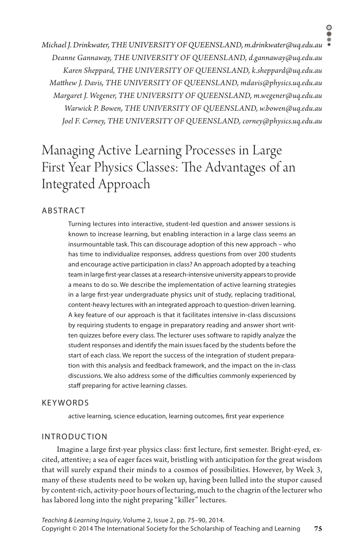*Michael J. Drinkwater, THE UNIVERSITY OF QUEENSLAND, m.drinkwater@uq.edu.au Deanne Gannaway, THE UNIVERSITY OF QUEENSLAND, d.gannaway@uq.edu.au Karen Sheppard, THE UNIVERSITY OF QUEENSLAND, k.sheppard@uq.edu.au Matthew J. Davis, THE UNIVERSITY OF QUEENSLAND, mdavis@physics.uq.edu.au Margaret J. Wegener, THE UNIVERSITY OF QUEENSLAND, m.wegener@uq.edu.au Warwick P. Bowen, THE UNIVERSITY OF QUEENSLAND, w.bowen@uq.edu.au Joel F. Corney, THE UNIVERSITY OF QUEENSLAND, corney@physics.uq.edu.au*

# Managing Active Learning Processes in Large First Year Physics Classes: The Advantages of an Integrated Approach

# **ABSTRACT**

Turning lectures into interactive, student-led question and answer sessions is known to increase learning, but enabling interaction in a large class seems an insurmountable task. This can discourage adoption of this new approach – who has time to individualize responses, address questions from over 200 students and encourage active participation in class? An approach adopted by a teaching team in large first-year classes at a research-intensive university appears to provide a means to do so. We describe the implementation of active learning strategies in a large first-year undergraduate physics unit of study, replacing traditional, content-heavy lectures with an integrated approach to question-driven learning. A key feature of our approach is that it facilitates intensive in-class discussions by requiring students to engage in preparatory reading and answer short written quizzes before every class. The lecturer uses software to rapidly analyze the student responses and identify the main issues faced by the students before the start of each class. We report the success of the integration of student preparation with this analysis and feedback framework, and the impact on the in-class discussions. We also address some of the difficulties commonly experienced by staff preparing for active learning classes.

# **KEYWORDS**

active learning, science education, learning outcomes, first year experience

# INTRODUC TION

Imagine a large first-year physics class: first lecture, first semester. Bright-eyed, excited, attentive; a sea of eager faces wait, bristling with anticipation for the great wisdom that will surely expand their minds to a cosmos of possibilities. However, by Week 3, many of these students need to be woken up, having been lulled into the stupor caused by content-rich, activity-poor hours of lecturing, much to the chagrin of the lecturer who has labored long into the night preparing "killer" lectures.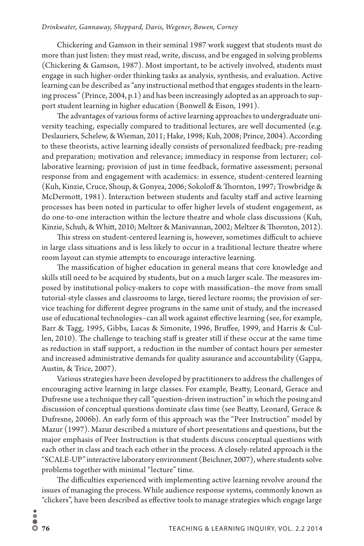#### *Drinkwater, Gannaway, Sheppard, Davis, Wegener, Bowen, Corney*

Chickering and Gamson in their seminal 1987 work suggest that students must do more than just listen: they must read, write, discuss, and be engaged in solving problems (Chickering & Gamson, 1987). Most important, to be actively involved, students must engage in such higher-order thinking tasks as analysis, synthesis, and evaluation. Active learning can be described as "any instructional method that engages students in the learning process" (Prince, 2004, p.1) and has been increasingly adopted as an approach to support student learning in higher education (Bonwell & Eison, 1991).

The advantages of various forms of active learning approaches to undergraduate university teaching, especially compared to traditional lectures, are well documented (e.g. Deslauriers, Schelew, & Wieman, 2011; Hake, 1998; Kuh, 2008; Prince, 2004). According to these theorists, active learning ideally consists of personalized feedback; pre-reading and preparation; motivation and relevance; immediacy in response from lecturer; collaborative learning; provision of just in time feedback, formative assessment; personal response from and engagement with academics: in essence, student-centered learning (Kuh, Kinzie, Cruce, Shoup, & Gonyea, 2006; Sokoloff & Thornton, 1997; Trowbridge & McDermott, 1981). Interaction between students and faculty staff and active learning processes has been noted in particular to offer higher levels of student engagement, as do one-to-one interaction within the lecture theatre and whole class discussions (Kuh, Kinzie, Schuh, & Whitt, 2010; Meltzer & Manivannan, 2002; Meltzer & Thornton, 2012).

This stress on student-centered learning is, however, sometimes difficult to achieve in large class situations and is less likely to occur in a traditional lecture theatre where room layout can stymie attempts to encourage interactive learning.

The massification of higher education in general means that core knowledge and skills still need to be acquired by students, but on a much larger scale. The measures imposed by institutional policy-makers to cope with massification–the move from small tutorial-style classes and classrooms to large, tiered lecture rooms; the provision of service teaching for different degree programs in the same unit of study, and the increased use of educational technologies–can all work against effective learning (see, for example, Barr & Tagg, 1995, Gibbs, Lucas & Simonite, 1996, Bruffee, 1999, and Harris & Cullen, 2010). The challenge to teaching staff is greater still if these occur at the same time as reduction in staff support, a reduction in the number of contact hours per semester and increased administrative demands for quality assurance and accountability (Gappa, Austin, & Trice, 2007).

Various strategies have been developed by practitioners to address the challenges of encouraging active learning in large classes. For example, Beatty, Leonard, Gerace and Dufresne use a technique they call "question-driven instruction" in which the posing and discussion of conceptual questions dominate class time (see Beatty, Leonard, Gerace & Dufresne, 2006b). An early form of this approach was the "Peer Instruction" model by Mazur (1997). Mazur described a mixture of short presentations and questions, but the major emphasis of Peer Instruction is that students discuss conceptual questions with each other in class and teach each other in the process. A closely-related approach is the "SCALE-UP" interactive laboratory environment (Beichner, 2007), where students solve problems together with minimal "lecture" time.

The difficulties experienced with implementing active learning revolve around the issues of managing the process. While audience response systems, commonly known as "clickers", have been described as effective tools to manage strategies which engage large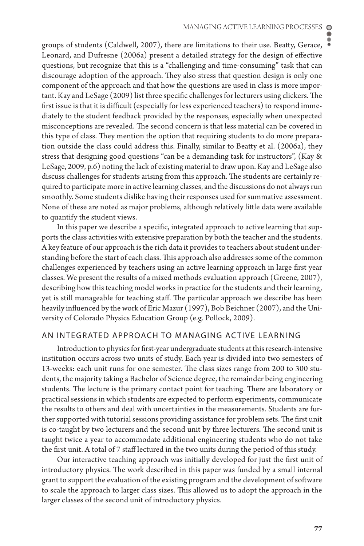groups of students (Caldwell, 2007), there are limitations to their use. Beatty, Gerace, Leonard, and Dufresne (2006a) present a detailed strategy for the design of effective questions, but recognize that this is a "challenging and time-consuming" task that can discourage adoption of the approach. They also stress that question design is only one component of the approach and that how the questions are used in class is more important. Kay and LeSage (2009) list three specific challenges for lecturers using clickers. The first issue is that it is difficult (especially for less experienced teachers) to respond immediately to the student feedback provided by the responses, especially when unexpected misconceptions are revealed. The second concern is that less material can be covered in this type of class. They mention the option that requiring students to do more preparation outside the class could address this. Finally, similar to Beatty et al. (2006a), they stress that designing good questions "can be a demanding task for instructors", (Kay & LeSage, 2009, p.6) noting the lack of existing material to draw upon. Kay and LeSage also discuss challenges for students arising from this approach. The students are certainly required to participate more in active learning classes, and the discussions do not always run smoothly. Some students dislike having their responses used for summative assessment. None of these are noted as major problems, although relatively little data were available to quantify the student views.

In this paper we describe a specific, integrated approach to active learning that supports the class activities with extensive preparation by both the teacher and the students. A key feature of our approach is the rich data it provides to teachers about student understanding before the start of each class. This approach also addresses some of the common challenges experienced by teachers using an active learning approach in large first year classes. We present the results of a mixed methods evaluation approach (Greene, 2007), describing how this teaching model works in practice for the students and their learning, yet is still manageable for teaching staff. The particular approach we describe has been heavily influenced by the work of Eric Mazur (1997), Bob Beichner (2007), and the University of Colorado Physics Education Group (e.g. Pollock, 2009).

# AN INTEGRATED APPROACH TO MANAGING ACTIVE LEARNING

Introduction to physics for first-year undergraduate students at this research-intensive institution occurs across two units of study. Each year is divided into two semesters of 13-weeks: each unit runs for one semester. The class sizes range from 200 to 300 students, the majority taking a Bachelor of Science degree, the remainder being engineering students. The lecture is the primary contact point for teaching. There are laboratory or practical sessions in which students are expected to perform experiments, communicate the results to others and deal with uncertainties in the measurements. Students are further supported with tutorial sessions providing assistance for problem sets. The first unit is co-taught by two lecturers and the second unit by three lecturers. The second unit is taught twice a year to accommodate additional engineering students who do not take the first unit. A total of 7 staff lectured in the two units during the period of this study.

Our interactive teaching approach was initially developed for just the first unit of introductory physics. The work described in this paper was funded by a small internal grant to support the evaluation of the existing program and the development of software to scale the approach to larger class sizes. This allowed us to adopt the approach in the larger classes of the second unit of introductory physics.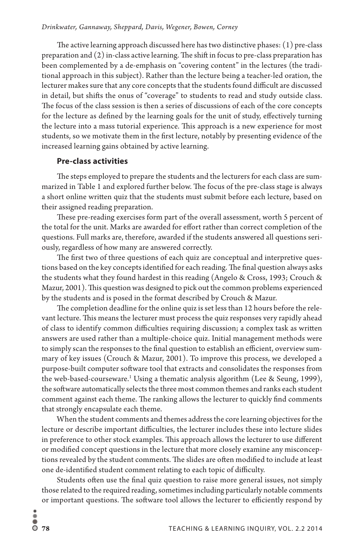The active learning approach discussed here has two distinctive phases: (1) pre-class preparation and (2) in-class active learning. The shift in focus to pre-class preparation has been complemented by a de-emphasis on "covering content" in the lectures (the traditional approach in this subject). Rather than the lecture being a teacher-led oration, the lecturer makes sure that any core concepts that the students found difficult are discussed in detail, but shifts the onus of "coverage" to students to read and study outside class. The focus of the class session is then a series of discussions of each of the core concepts for the lecture as defined by the learning goals for the unit of study, effectively turning the lecture into a mass tutorial experience. This approach is a new experience for most students, so we motivate them in the first lecture, notably by presenting evidence of the increased learning gains obtained by active learning.

#### **Pre-class activities**

The steps employed to prepare the students and the lecturers for each class are summarized in Table 1 and explored further below. The focus of the pre-class stage is always a short online written quiz that the students must submit before each lecture, based on their assigned reading preparation.

These pre-reading exercises form part of the overall assessment, worth 5 percent of the total for the unit. Marks are awarded for effort rather than correct completion of the questions. Full marks are, therefore, awarded if the students answered all questions seriously, regardless of how many are answered correctly.

The first two of three questions of each quiz are conceptual and interpretive questions based on the key concepts identified for each reading. The final question always asks the students what they found hardest in this reading (Angelo & Cross, 1993; Crouch & Mazur, 2001). This question was designed to pick out the common problems experienced by the students and is posed in the format described by Crouch & Mazur.

The completion deadline for the online quiz is set less than 12 hours before the relevant lecture. This means the lecturer must process the quiz responses very rapidly ahead of class to identify common difficulties requiring discussion; a complex task as written answers are used rather than a multiple-choice quiz. Initial management methods were to simply scan the responses to the final question to establish an efficient, overview summary of key issues (Crouch & Mazur, 2001). To improve this process, we developed a purpose-built computer software tool that extracts and consolidates the responses from the web-based-courseware.<sup>1</sup> Using a thematic analysis algorithm (Lee & Seung, 1999), the software automatically selects the three most common themes and ranks each student comment against each theme. The ranking allows the lecturer to quickly find comments that strongly encapsulate each theme.

When the student comments and themes address the core learning objectives for the lecture or describe important difficulties, the lecturer includes these into lecture slides in preference to other stock examples. This approach allows the lecturer to use different or modified concept questions in the lecture that more closely examine any misconceptions revealed by the student comments. The slides are often modified to include at least one de-identified student comment relating to each topic of difficulty.

Students often use the final quiz question to raise more general issues, not simply those related to the required reading, sometimes including particularly notable comments or important questions. The software tool allows the lecturer to efficiently respond by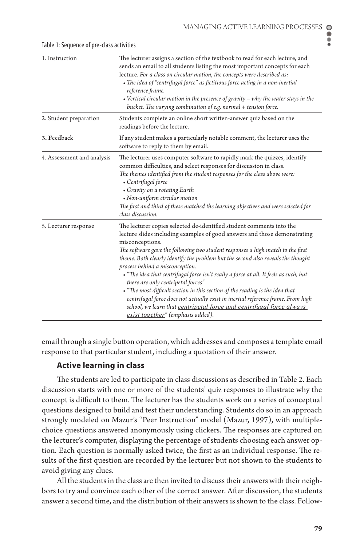$\bullet$ ē

| 1. Instruction             | The lecturer assigns a section of the textbook to read for each lecture, and<br>sends an email to all students listing the most important concepts for each<br>lecture. For a class on circular motion, the concepts were described as:              |  |
|----------------------------|------------------------------------------------------------------------------------------------------------------------------------------------------------------------------------------------------------------------------------------------------|--|
|                            | • The idea of "centrifugal force" as fictitious force acting in a non-inertial                                                                                                                                                                       |  |
|                            | reference frame.                                                                                                                                                                                                                                     |  |
|                            | • Vertical circular motion in the presence of gravity $-$ why the water stays in the<br>bucket. The varying combination of e.g. normal + tension force.                                                                                              |  |
| 2. Student preparation     | Students complete an online short written-answer quiz based on the<br>readings before the lecture.                                                                                                                                                   |  |
| 3. Feedback                | If any student makes a particularly notable comment, the lecturer uses the<br>software to reply to them by email.                                                                                                                                    |  |
| 4. Assessment and analysis | The lecturer uses computer software to rapidly mark the quizzes, identify<br>common difficulties, and select responses for discussion in class.<br>The themes identified from the student responses for the class above were:<br>• Centrifugal force |  |
|                            | • Gravity on a rotating Earth                                                                                                                                                                                                                        |  |
|                            | • Non-uniform circular motion                                                                                                                                                                                                                        |  |
|                            | The first and third of these matched the learning objectives and were selected for<br>class discussion.                                                                                                                                              |  |
| 5. Lecturer response       | The lecturer copies selected de-identified student comments into the                                                                                                                                                                                 |  |
|                            | lecture slides including examples of good answers and those demonstrating<br>misconceptions.                                                                                                                                                         |  |
|                            | The software gave the following two student responses a high match to the first                                                                                                                                                                      |  |
|                            | theme. Both clearly identify the problem but the second also reveals the thought<br>process behind a misconception.                                                                                                                                  |  |
|                            | • "The idea that centrifugal force isn't really a force at all. It feels as such, but<br>there are only centripetal forces"                                                                                                                          |  |
|                            | • "The most difficult section in this section of the reading is the idea that                                                                                                                                                                        |  |
|                            | centrifugal force does not actually exist in inertial reference frame. From high                                                                                                                                                                     |  |
|                            | school, we learn that centripetal force and centrifugal force always                                                                                                                                                                                 |  |
|                            | exist together" (emphasis added).                                                                                                                                                                                                                    |  |

#### Table 1: Sequence of pre-class activities

email through a single button operation, which addresses and composes a template email response to that particular student, including a quotation of their answer.

# **Active learning in class**

The students are led to participate in class discussions as described in Table 2. Each discussion starts with one or more of the students' quiz responses to illustrate why the concept is difficult to them. The lecturer has the students work on a series of conceptual questions designed to build and test their understanding. Students do so in an approach strongly modeled on Mazur's "Peer Instruction" model (Mazur, 1997), with multiplechoice questions answered anonymously using clickers. The responses are captured on the lecturer's computer, displaying the percentage of students choosing each answer option. Each question is normally asked twice, the first as an individual response. The results of the first question are recorded by the lecturer but not shown to the students to avoid giving any clues.

All the students in the class are then invited to discuss their answers with their neighbors to try and convince each other of the correct answer. After discussion, the students answer a second time, and the distribution of their answers is shown to the class. Follow-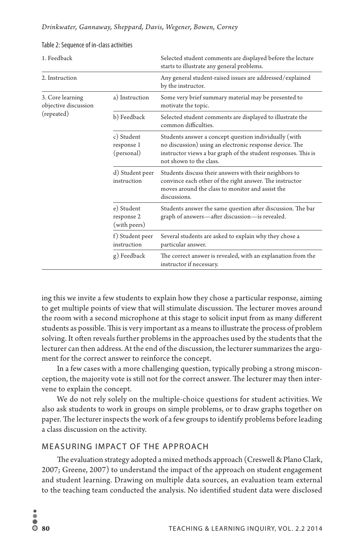| 1. Feedback                                            |                                          | Selected student comments are displayed before the lecture<br>starts to illustrate any general problems.                                                                                                      |
|--------------------------------------------------------|------------------------------------------|---------------------------------------------------------------------------------------------------------------------------------------------------------------------------------------------------------------|
| 2. Instruction                                         |                                          | Any general student-raised issues are addressed/explained<br>by the instructor.                                                                                                                               |
| 3. Core learning<br>objective discussion<br>(repeated) | a) Instruction                           | Some very brief summary material may be presented to<br>motivate the topic.                                                                                                                                   |
|                                                        | b) Feedback                              | Selected student comments are displayed to illustrate the<br>common difficulties.                                                                                                                             |
|                                                        | c) Student<br>response 1<br>(personal)   | Students answer a concept question individually (with<br>no discussion) using an electronic response device. The<br>instructor views a bar graph of the student responses. This is<br>not shown to the class. |
|                                                        | d) Student peer<br>instruction           | Students discuss their answers with their neighbors to<br>convince each other of the right answer. The instructor<br>moves around the class to monitor and assist the<br>discussions.                         |
|                                                        | e) Student<br>response 2<br>(with peers) | Students answer the same question after discussion. The bar<br>graph of answers-after discussion-is revealed.                                                                                                 |
|                                                        | f) Student peer<br>instruction           | Several students are asked to explain why they chose a<br>particular answer.                                                                                                                                  |
|                                                        | g) Feedback                              | The correct answer is revealed, with an explanation from the<br>instructor if necessary.                                                                                                                      |

#### Table 2: Sequence of in-class activities

ing this we invite a few students to explain how they chose a particular response, aiming to get multiple points of view that will stimulate discussion. The lecturer moves around the room with a second microphone at this stage to solicit input from as many different students as possible. This is very important as a means to illustrate the process of problem solving. It often reveals further problems in the approaches used by the students that the lecturer can then address. At the end of the discussion, the lecturer summarizes the argument for the correct answer to reinforce the concept.

In a few cases with a more challenging question, typically probing a strong misconception, the majority vote is still not for the correct answer. The lecturer may then intervene to explain the concept.

We do not rely solely on the multiple-choice questions for student activities. We also ask students to work in groups on simple problems, or to draw graphs together on paper. The lecturer inspects the work of a few groups to identify problems before leading a class discussion on the activity.

# MEASURING IMPACT OF THE APPROACH

The evaluation strategy adopted a mixed methods approach (Creswell & Plano Clark, 2007; Greene, 2007) to understand the impact of the approach on student engagement and student learning. Drawing on multiple data sources, an evaluation team external to the teaching team conducted the analysis. No identified student data were disclosed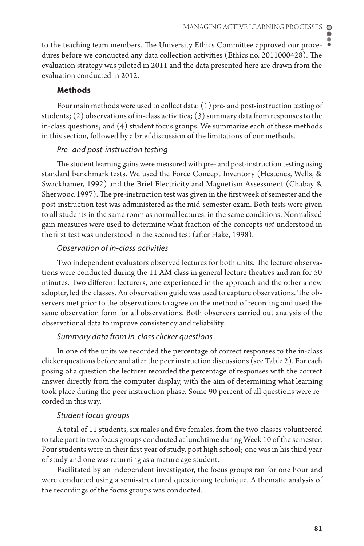to the teaching team members. The University Ethics Committee approved our procedures before we conducted any data collection activities (Ethics no. 2011000428). The evaluation strategy was piloted in 2011 and the data presented here are drawn from the evaluation conducted in 2012.

# **Methods**

Four main methods were used to collect data: (1) pre- and post-instruction testing of students;  $(2)$  observations of in-class activities;  $(3)$  summary data from responses to the in-class questions; and (4) student focus groups. We summarize each of these methods in this section, followed by a brief discussion of the limitations of our methods.

# *Pre- and post-instruction testing*

The student learning gains were measured with pre- and post-instruction testing using standard benchmark tests. We used the Force Concept Inventory (Hestenes, Wells, & Swackhamer, 1992) and the Brief Electricity and Magnetism Assessment (Chabay & Sherwood 1997). The pre-instruction test was given in the first week of semester and the post-instruction test was administered as the mid-semester exam. Both tests were given to all students in the same room as normal lectures, in the same conditions. Normalized gain measures were used to determine what fraction of the concepts *not* understood in the first test was understood in the second test (after Hake, 1998).

#### *Observation of in-class activities*

Two independent evaluators observed lectures for both units. The lecture observations were conducted during the 11 AM class in general lecture theatres and ran for 50 minutes. Two different lecturers, one experienced in the approach and the other a new adopter, led the classes. An observation guide was used to capture observations. The observers met prior to the observations to agree on the method of recording and used the same observation form for all observations. Both observers carried out analysis of the observational data to improve consistency and reliability.

#### *Summary data from in-class clicker questions*

In one of the units we recorded the percentage of correct responses to the in-class clicker questions before and after the peer instruction discussions (see Table 2). For each posing of a question the lecturer recorded the percentage of responses with the correct answer directly from the computer display, with the aim of determining what learning took place during the peer instruction phase. Some 90 percent of all questions were recorded in this way.

# *Student focus groups*

A total of 11 students, six males and five females, from the two classes volunteered to take part in two focus groups conducted at lunchtime during Week 10 of the semester. Four students were in their first year of study, post high school; one was in his third year of study and one was returning as a mature age student.

Facilitated by an independent investigator, the focus groups ran for one hour and were conducted using a semi-structured questioning technique. A thematic analysis of the recordings of the focus groups was conducted.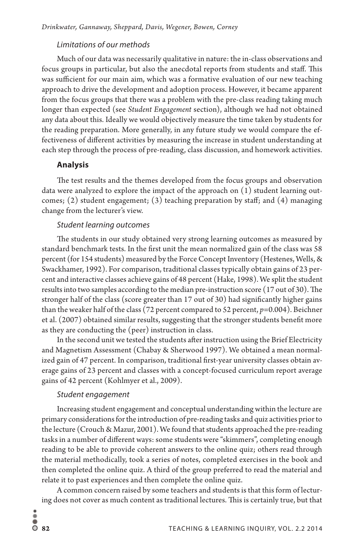#### *Limitations of our methods*

Much of our data was necessarily qualitative in nature: the in-class observations and focus groups in particular, but also the anecdotal reports from students and staff. This was sufficient for our main aim, which was a formative evaluation of our new teaching approach to drive the development and adoption process. However, it became apparent from the focus groups that there was a problem with the pre-class reading taking much longer than expected (see *Student Engagement* section), although we had not obtained any data about this. Ideally we would objectively measure the time taken by students for the reading preparation. More generally, in any future study we would compare the effectiveness of different activities by measuring the increase in student understanding at each step through the process of pre-reading, class discussion, and homework activities.

#### **Analysis**

The test results and the themes developed from the focus groups and observation data were analyzed to explore the impact of the approach on (1) student learning outcomes; (2) student engagement; (3) teaching preparation by staff; and (4) managing change from the lecturer's view.

#### *Student learning outcomes*

The students in our study obtained very strong learning outcomes as measured by standard benchmark tests. In the first unit the mean normalized gain of the class was 58 percent (for 154 students) measured by the Force Concept Inventory (Hestenes, Wells, & Swackhamer, 1992). For comparison, traditional classes typically obtain gains of 23 percent and interactive classes achieve gains of 48 percent (Hake, 1998). We split the student results into two samples according to the median pre-instruction score (17 out of 30). The stronger half of the class (score greater than 17 out of 30) had significantly higher gains than the weaker half of the class (72 percent compared to 52 percent, *p*=0.004). Beichner et al. (2007) obtained similar results, suggesting that the stronger students benefit more as they are conducting the (peer) instruction in class.

In the second unit we tested the students after instruction using the Brief Electricity and Magnetism Assessment (Chabay & Sherwood 1997). We obtained a mean normalized gain of 47 percent. In comparison, traditional first-year university classes obtain average gains of 23 percent and classes with a concept-focused curriculum report average gains of 42 percent (Kohlmyer et al., 2009).

# *Student engagement*

Increasing student engagement and conceptual understanding within the lecture are primary considerations for the introduction of pre-reading tasks and quiz activities prior to the lecture (Crouch & Mazur, 2001). We found that students approached the pre-reading tasks in a number of different ways: some students were "skimmers", completing enough reading to be able to provide coherent answers to the online quiz; others read through the material methodically, took a series of notes, completed exercises in the book and then completed the online quiz. A third of the group preferred to read the material and relate it to past experiences and then complete the online quiz.

A common concern raised by some teachers and students is that this form of lecturing does not cover as much content as traditional lectures. This is certainly true, but that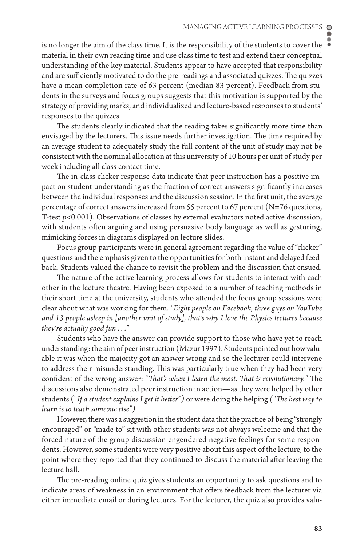is no longer the aim of the class time. It is the responsibility of the students to cover the material in their own reading time and use class time to test and extend their conceptual understanding of the key material. Students appear to have accepted that responsibility and are sufficiently motivated to do the pre-readings and associated quizzes. The quizzes have a mean completion rate of 63 percent (median 83 percent). Feedback from students in the surveys and focus groups suggests that this motivation is supported by the strategy of providing marks, and individualized and lecture-based responses to students' responses to the quizzes.

The students clearly indicated that the reading takes significantly more time than envisaged by the lecturers. This issue needs further investigation. The time required by an average student to adequately study the full content of the unit of study may not be consistent with the nominal allocation at this university of 10 hours per unit of study per week including all class contact time.

The in-class clicker response data indicate that peer instruction has a positive impact on student understanding as the fraction of correct answers significantly increases between the individual responses and the discussion session. In the first unit, the average percentage of correct answers increased from 55 percent to 67 percent (N=76 questions, T-test *p*<0.001). Observations of classes by external evaluators noted active discussion, with students often arguing and using persuasive body language as well as gesturing, mimicking forces in diagrams displayed on lecture slides.

Focus group participants were in general agreement regarding the value of "clicker" questions and the emphasis given to the opportunities for both instant and delayed feedback. Students valued the chance to revisit the problem and the discussion that ensued.

The nature of the active learning process allows for students to interact with each other in the lecture theatre. Having been exposed to a number of teaching methods in their short time at the university, students who attended the focus group sessions were clear about what was working for them. *"Eight people on Facebook, three guys on YouTube and 13 people asleep in [another unit of study], that's why I love the Physics lectures because they're actually good fun . . ."*

Students who have the answer can provide support to those who have yet to reach understanding: the aim of peer instruction (Mazur 1997). Students pointed out how valuable it was when the majority got an answer wrong and so the lecturer could intervene to address their misunderstanding. This was particularly true when they had been very confident of the wrong answer: "*That's when I learn the most. That is revolutionary."* The discussions also demonstrated peer instruction in action—as they were helped by other students ("*If a student explains I get it better")* or were doing the helping *("The best way to learn is to teach someone else").*

However, there was a suggestion in the student data that the practice of being "strongly encouraged" or "made to" sit with other students was not always welcome and that the forced nature of the group discussion engendered negative feelings for some respondents. However, some students were very positive about this aspect of the lecture, to the point where they reported that they continued to discuss the material after leaving the lecture hall.

The pre-reading online quiz gives students an opportunity to ask questions and to indicate areas of weakness in an environment that offers feedback from the lecturer via either immediate email or during lectures. For the lecturer, the quiz also provides valu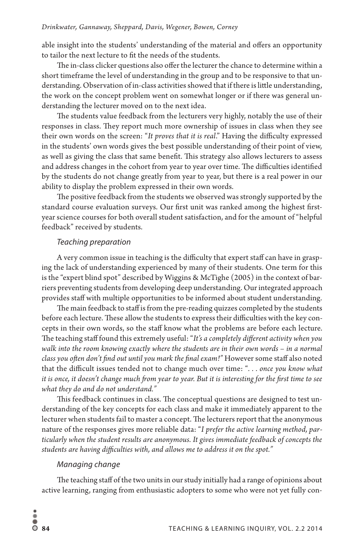able insight into the students' understanding of the material and offers an opportunity to tailor the next lecture to fit the needs of the students.

The in-class clicker questions also offer the lecturer the chance to determine within a short timeframe the level of understanding in the group and to be responsive to that understanding. Observation of in-class activities showed that if there is little understanding, the work on the concept problem went on somewhat longer or if there was general understanding the lecturer moved on to the next idea.

The students value feedback from the lecturers very highly, notably the use of their responses in class. They report much more ownership of issues in class when they see their own words on the screen: "*It proves that it is real*." Having the difficulty expressed in the students' own words gives the best possible understanding of their point of view, as well as giving the class that same benefit. This strategy also allows lecturers to assess and address changes in the cohort from year to year over time. The difficulties identified by the students do not change greatly from year to year, but there is a real power in our ability to display the problem expressed in their own words.

The positive feedback from the students we observed was strongly supported by the standard course evaluation surveys. Our first unit was ranked among the highest firstyear science courses for both overall student satisfaction, and for the amount of "helpful feedback" received by students.

#### *Teaching preparation*

A very common issue in teaching is the difficulty that expert staff can have in grasping the lack of understanding experienced by many of their students. One term for this is the "expert blind spot" described by Wiggins & McTighe (2005) in the context of barriers preventing students from developing deep understanding. Our integrated approach provides staff with multiple opportunities to be informed about student understanding.

The main feedback to staff is from the pre-reading quizzes completed by the students before each lecture. These allow the students to express their difficulties with the key concepts in their own words, so the staff know what the problems are before each lecture. The teaching staff found this extremely useful: "*It's a completely different activity when you walk into the room knowing exactly where the students are in their own words – in a normal class you often don't find out until you mark the final exam!"* However some staff also noted that the difficult issues tended not to change much over time: "*. . . once you know what it is once, it doesn't change much from year to year. But it is interesting for the first time to see what they do and do not understand."* 

This feedback continues in class. The conceptual questions are designed to test understanding of the key concepts for each class and make it immediately apparent to the lecturer when students fail to master a concept. The lecturers report that the anonymous nature of the responses gives more reliable data: "*I prefer the active learning method, particularly when the student results are anonymous. It gives immediate feedback of concepts the students are having difficulties with, and allows me to address it on the spot."*

# *Managing change*

The teaching staff of the two units in our study initially had a range of opinions about active learning, ranging from enthusiastic adopters to some who were not yet fully con-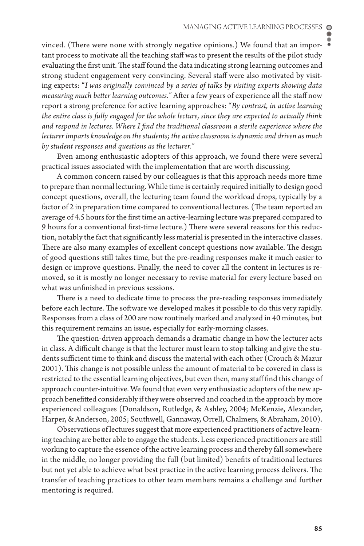vinced. (There were none with strongly negative opinions.) We found that an important process to motivate all the teaching staff was to present the results of the pilot study evaluating the first unit. The staff found the data indicating strong learning outcomes and strong student engagement very convincing. Several staff were also motivated by visiting experts: "*I was originally convinced by a series of talks by visiting experts showing data measuring much better learning outcomes."* After a few years of experience all the staff now report a strong preference for active learning approaches: "*By contrast, in active learning the entire class is fully engaged for the whole lecture, since they are expected to actually think and respond in lectures. Where I find the traditional classroom a sterile experience where the lecturer imparts knowledge on the students; the active classroom is dynamic and driven as much by student responses and questions as the lecturer."*

Even among enthusiastic adopters of this approach, we found there were several practical issues associated with the implementation that are worth discussing.

A common concern raised by our colleagues is that this approach needs more time to prepare than normal lecturing. While time is certainly required initially to design good concept questions, overall, the lecturing team found the workload drops, typically by a factor of 2 in preparation time compared to conventional lectures. (The team reported an average of 4.5 hours for the first time an active-learning lecture was prepared compared to 9 hours for a conventional first-time lecture.) There were several reasons for this reduction, notably the fact that significantly less material is presented in the interactive classes. There are also many examples of excellent concept questions now available. The design of good questions still takes time, but the pre-reading responses make it much easier to design or improve questions. Finally, the need to cover all the content in lectures is removed, so it is mostly no longer necessary to revise material for every lecture based on what was unfinished in previous sessions.

There is a need to dedicate time to process the pre-reading responses immediately before each lecture. The software we developed makes it possible to do this very rapidly. Responses from a class of 200 are now routinely marked and analyzed in 40 minutes, but this requirement remains an issue, especially for early-morning classes.

The question-driven approach demands a dramatic change in how the lecturer acts in class. A difficult change is that the lecturer must learn to stop talking and give the students sufficient time to think and discuss the material with each other (Crouch & Mazur 2001). This change is not possible unless the amount of material to be covered in class is restricted to the essential learning objectives, but even then, many staff find this change of approach counter-intuitive. We found that even very enthusiastic adopters of the new approach benefitted considerably if they were observed and coached in the approach by more experienced colleagues (Donaldson, Rutledge, & Ashley, 2004; McKenzie, Alexander, Harper, & Anderson, 2005; Southwell, Gannaway, Orrell, Chalmers, & Abraham, 2010).

Observations of lectures suggest that more experienced practitioners of active learning teaching are better able to engage the students. Less experienced practitioners are still working to capture the essence of the active learning process and thereby fall somewhere in the middle, no longer providing the full (but limited) benefits of traditional lectures but not yet able to achieve what best practice in the active learning process delivers. The transfer of teaching practices to other team members remains a challenge and further mentoring is required.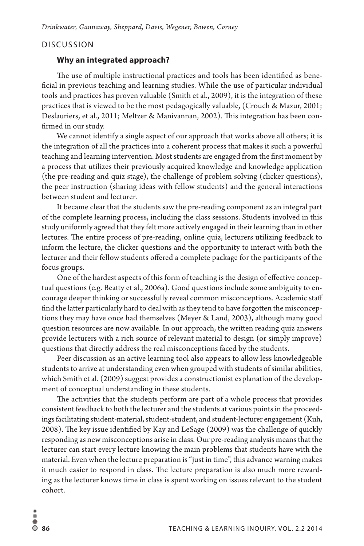# DISCUSSION

# **Why an integrated approach?**

The use of multiple instructional practices and tools has been identified as beneficial in previous teaching and learning studies. While the use of particular individual tools and practices has proven valuable (Smith et al., 2009), it is the integration of these practices that is viewed to be the most pedagogically valuable, (Crouch & Mazur, 2001; Deslauriers, et al., 2011; Meltzer & Manivannan, 2002). This integration has been confirmed in our study.

We cannot identify a single aspect of our approach that works above all others; it is the integration of all the practices into a coherent process that makes it such a powerful teaching and learning intervention. Most students are engaged from the first moment by a process that utilizes their previously acquired knowledge and knowledge application (the pre-reading and quiz stage), the challenge of problem solving (clicker questions), the peer instruction (sharing ideas with fellow students) and the general interactions between student and lecturer.

It became clear that the students saw the pre-reading component as an integral part of the complete learning process, including the class sessions. Students involved in this study uniformly agreed that they felt more actively engaged in their learning than in other lectures. The entire process of pre-reading, online quiz, lecturers utilizing feedback to inform the lecture, the clicker questions and the opportunity to interact with both the lecturer and their fellow students offered a complete package for the participants of the focus groups.

One of the hardest aspects of this form of teaching is the design of effective conceptual questions (e.g. Beatty et al., 2006a). Good questions include some ambiguity to encourage deeper thinking or successfully reveal common misconceptions. Academic staff find the latter particularly hard to deal with as they tend to have forgotten the misconceptions they may have once had themselves (Meyer & Land, 2003), although many good question resources are now available. In our approach, the written reading quiz answers provide lecturers with a rich source of relevant material to design (or simply improve) questions that directly address the real misconceptions faced by the students.

Peer discussion as an active learning tool also appears to allow less knowledgeable students to arrive at understanding even when grouped with students of similar abilities, which Smith et al. (2009) suggest provides a constructionist explanation of the development of conceptual understanding in these students.

The activities that the students perform are part of a whole process that provides consistent feedback to both the lecturer and the students at various points in the proceedings facilitating student-material, student-student, and student-lecturer engagement (Kuh, 2008). The key issue identified by Kay and LeSage (2009) was the challenge of quickly responding as new misconceptions arise in class. Our pre-reading analysis means that the lecturer can start every lecture knowing the main problems that students have with the material. Even when the lecture preparation is "just in time", this advance warning makes it much easier to respond in class. The lecture preparation is also much more rewarding as the lecturer knows time in class is spent working on issues relevant to the student cohort.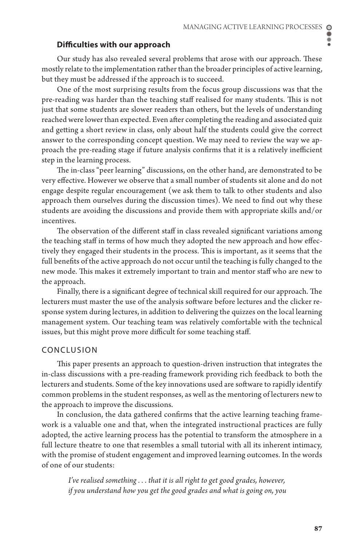#### **Difficulties with our approach**

Our study has also revealed several problems that arose with our approach. These mostly relate to the implementation rather than the broader principles of active learning, but they must be addressed if the approach is to succeed.

One of the most surprising results from the focus group discussions was that the pre-reading was harder than the teaching staff realised for many students. This is not just that some students are slower readers than others, but the levels of understanding reached were lower than expected. Even after completing the reading and associated quiz and getting a short review in class, only about half the students could give the correct answer to the corresponding concept question. We may need to review the way we approach the pre-reading stage if future analysis confirms that it is a relatively inefficient step in the learning process.

The in-class "peer learning" discussions, on the other hand, are demonstrated to be very effective. However we observe that a small number of students sit alone and do not engage despite regular encouragement (we ask them to talk to other students and also approach them ourselves during the discussion times). We need to find out why these students are avoiding the discussions and provide them with appropriate skills and/or incentives.

The observation of the different staff in class revealed significant variations among the teaching staff in terms of how much they adopted the new approach and how effectively they engaged their students in the process. This is important, as it seems that the full benefits of the active approach do not occur until the teaching is fully changed to the new mode. This makes it extremely important to train and mentor staff who are new to the approach.

Finally, there is a significant degree of technical skill required for our approach. The lecturers must master the use of the analysis software before lectures and the clicker response system during lectures, in addition to delivering the quizzes on the local learning management system. Our teaching team was relatively comfortable with the technical issues, but this might prove more difficult for some teaching staff.

#### CONCLUSION

This paper presents an approach to question-driven instruction that integrates the in-class discussions with a pre-reading framework providing rich feedback to both the lecturers and students. Some of the key innovations used are software to rapidly identify common problems in the student responses, as well as the mentoring of lecturers new to the approach to improve the discussions.

In conclusion, the data gathered confirms that the active learning teaching framework is a valuable one and that, when the integrated instructional practices are fully adopted, the active learning process has the potential to transform the atmosphere in a full lecture theatre to one that resembles a small tutorial with all its inherent intimacy, with the promise of student engagement and improved learning outcomes. In the words of one of our students:

*I've realised something . . . that it is all right to get good grades, however, if you understand how you get the good grades and what is going on, you*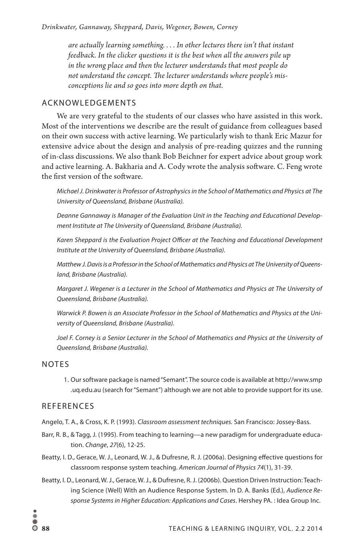*are actually learning something. . . . In other lectures there isn't that instant feedback. In the clicker questions it is the best when all the answers pile up in the wrong place and then the lecturer understands that most people do not understand the concept. The lecturer understands where people's misconceptions lie and so goes into more depth on that.* 

# ACKNOWLEDGEMENTS

We are very grateful to the students of our classes who have assisted in this work. Most of the interventions we describe are the result of guidance from colleagues based on their own success with active learning. We particularly wish to thank Eric Mazur for extensive advice about the design and analysis of pre-reading quizzes and the running of in-class discussions. We also thank Bob Beichner for expert advice about group work and active learning. A. Bakharia and A. Cody wrote the analysis software. C. Feng wrote the first version of the software.

*Michael J. Drinkwater is Professor of Astrophysics in the School of Mathematics and Physics at The University of Queensland, Brisbane (Australia).*

*Deanne Gannaway is Manager of the Evaluation Unit in the Teaching and Educational Development Institute at The University of Queensland, Brisbane (Australia).* 

*Karen Sheppard is the Evaluation Project Officer at the Teaching and Educational Development Institute at the University of Queensland, Brisbane (Australia).* 

*Matthew J. Davis is a Professor in the School of Mathematics and Physics at The University of Queensland, Brisbane (Australia).*

*Margaret J. Wegener is a Lecturer in the School of Mathematics and Physics at The University of Queensland, Brisbane (Australia).*

*Warwick P. Bowen is an Associate Professor in the School of Mathematics and Physics at the University of Queensland, Brisbane (Australia).*

*Joel F. Corney is a Senior Lecturer in the School of Mathematics and Physics at the University of Queensland, Brisbane (Australia).*

#### NOTES

1. Our software package is named "Semant". The source code is available at http://www.smp .uq.edu.au (search for "Semant") although we are not able to provide support for its use.

#### **REFERENCES**

- Angelo, T. A., & Cross, K. P. (1993). *Classroom assessment techniques.* San Francisco: Jossey-Bass.
- Barr, R. B., & Tagg, J. (1995). From teaching to learning—a new paradigm for undergraduate education. *Change*, *27*(6), 12-25.
- Beatty, I. D., Gerace, W. J., Leonard, W. J., & Dufresne, R. J. (2006a). Designing effective questions for classroom response system teaching. *American Journal of Physics 74*(1), 31-39.
- Beatty, I. D., Leonard, W. J., Gerace, W. J., & Dufresne, R. J. (2006b). Question Driven Instruction: Teaching Science (Well) With an Audience Response System. In D. A. Banks (Ed.), *Audience Response Systems in Higher Education: Applications and Cases*. Hershey PA. : Idea Group Inc.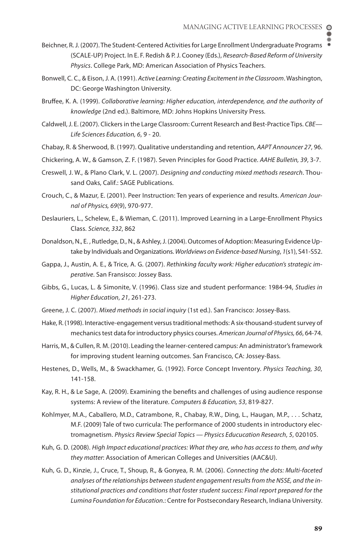- Beichner, R. J. (2007). The Student-Centered Activities for Large Enrollment Undergraduate Programs (SCALE-UP) Project. In E. F. Redish & P. J. Cooney (Eds.), *Research-Based Reform of University Physics*. College Park, MD: American Association of Physics Teachers.
- Bonwell, C. C., & Eison, J. A. (1991). *Active Learning: Creating Excitement in the Classroom*. Washington, DC: George Washington University.
- Bruffee, K. A. (1999). *Collaborative learning: Higher education, interdependence, and the authority of knowledge* (2nd ed.). Baltimore, MD: Johns Hopkins University Press.
- Caldwell, J. E. (2007). Clickers in the Large Classroom: Current Research and Best-Practice Tips. *CBE— Life Sciences Education, 6*, 9 - 20.
- Chabay, R. & Sherwood, B. (1997). Qualitative understanding and retention, *AAPT Announcer 27*, 96.
- Chickering, A. W., & Gamson, Z. F. (1987). Seven Principles for Good Practice. *AAHE Bulletin, 39*, 3-7.
- Creswell, J. W., & Plano Clark, V. L. (2007). *Designing and conducting mixed methods research*. Thousand Oaks, Calif.: SAGE Publications.
- Crouch, C., & Mazur, E. (2001). Peer Instruction: Ten years of experience and results. *American Journal of Physics, 69*(9), 970-977.
- Deslauriers, L., Schelew, E., & Wieman, C. (2011). Improved Learning in a Large-Enrollment Physics Class. *Science, 332*, 862
- Donaldson, N., E. , Rutledge, D., N., & Ashley, J. (2004). Outcomes of Adoption: Measuring Evidence Uptake by Individuals and Organizations. *Worldviews on Evidence-based Nursing*, *1*(s1), S41-S52.
- Gappa, J., Austin, A. E., & Trice, A. G. (2007). *Rethinking faculty work: Higher education's strategic imperative*. San Fransisco: Jossey Bass.
- Gibbs, G., Lucas, L. & Simonite, V. (1996). Class size and student performance: 1984-94, *Studies in Higher Education*, *21*, 261-273.
- Greene, J. C. (2007). *Mixed methods in social inquiry* (1st ed.). San Francisco: Jossey-Bass.
- Hake, R. (1998). Interactive-engagement versus traditional methods: A six-thousand-student survey of mechanics test data for introductory physics courses. *American Journal of Physics, 66*, 64-74.
- Harris, M., & Cullen, R. M. (2010). Leading the learner-centered campus: An administrator's framework for improving student learning outcomes. San Francisco, CA: Jossey-Bass.
- Hestenes, D., Wells, M., & Swackhamer, G. (1992). Force Concept Inventory. *Physics Teaching, 30*, 141-158.
- Kay, R. H., & Le Sage, A. (2009). Examining the benefits and challenges of using audience response systems: A review of the literature. *Computers & Education, 53*, 819-827.
- Kohlmyer, M.A., Caballero, M.D., Catrambone, R., Chabay, R.W., Ding, L., Haugan, M.P., . . . Schatz, M.F. (2009) Tale of two curricula: The performance of 2000 students in introductory electromagnetism. *Physics Review Special Topics — Physics Educucation Research*, *5*, 020105.
- Kuh, G. D. (2008). *High Impact educational practices: What they are, who has access to them, and why they matter*: Association of American Colleges and Universities (AAC&U).
- Kuh, G. D., Kinzie, J., Cruce, T., Shoup, R., & Gonyea, R. M. (2006). *Connecting the dots: Multi-faceted analyses of the relationships between student engagement results from the NSSE, and the institutional practices and conditions that foster student success: Final report prepared for the Lumina Foundation for Education.*: Centre for Postsecondary Research, Indiana University.